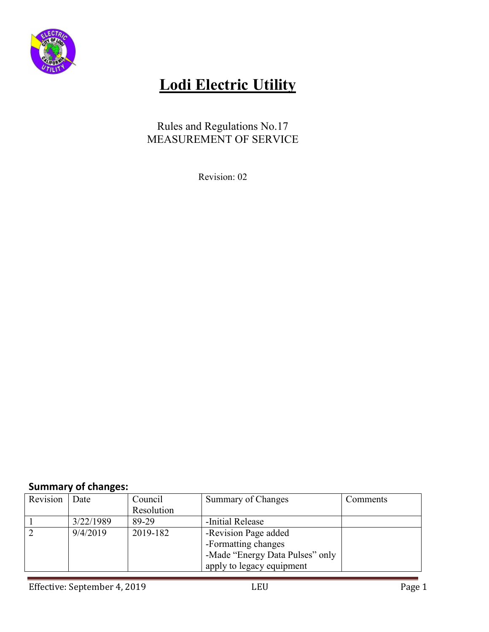

# **Lodi Electric Utility**

### Rules and Regulations No.17 MEASUREMENT OF SERVICE

Revision: 02

### **Summary of changes:**

| Revision | Date      | Council    | Summary of Changes              | Comments |
|----------|-----------|------------|---------------------------------|----------|
|          |           | Resolution |                                 |          |
|          | 3/22/1989 | 89-29      | -Initial Release                |          |
|          | 9/4/2019  | 2019-182   | -Revision Page added            |          |
|          |           |            | -Formatting changes             |          |
|          |           |            | -Made "Energy Data Pulses" only |          |
|          |           |            | apply to legacy equipment       |          |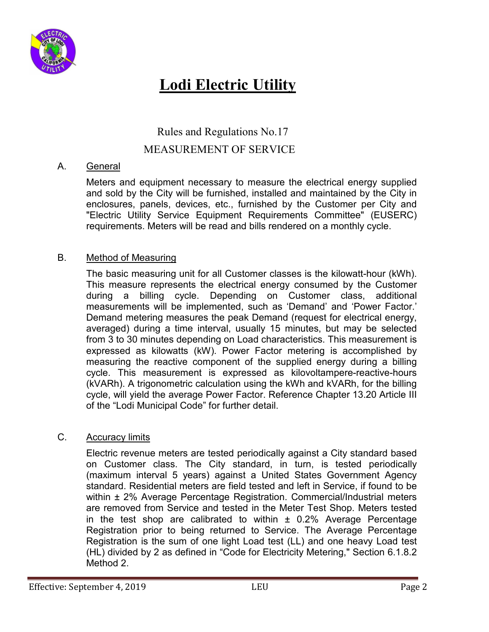

## **Lodi Electric Utility**

Rules and Regulations No.17

#### MEASUREMENT OF SERVICE

#### A. General

 Meters and equipment necessary to measure the electrical energy supplied and sold by the City will be furnished, installed and maintained by the City in enclosures, panels, devices, etc., furnished by the Customer per City and "Electric Utility Service Equipment Requirements Committee" (EUSERC) requirements. Meters will be read and bills rendered on a monthly cycle.

#### B. Method of Measuring

 The basic measuring unit for all Customer classes is the kilowatt-hour (kWh). This measure represents the electrical energy consumed by the Customer during a billing cycle. Depending on Customer class, additional measurements will be implemented, such as 'Demand' and 'Power Factor.' Demand metering measures the peak Demand (request for electrical energy, averaged) during a time interval, usually 15 minutes, but may be selected from 3 to 30 minutes depending on Load characteristics. This measurement is expressed as kilowatts (kW). Power Factor metering is accomplished by measuring the reactive component of the supplied energy during a billing cycle. This measurement is expressed as kilovoltampere-reactive-hours (kVARh). A trigonometric calculation using the kWh and kVARh, for the billing cycle, will yield the average Power Factor. Reference Chapter 13.20 Article III of the "Lodi Municipal Code" for further detail.

#### C. Accuracy limits

 Electric revenue meters are tested periodically against a City standard based on Customer class. The City standard, in turn, is tested periodically (maximum interval 5 years) against a United States Government Agency standard. Residential meters are field tested and left in Service, if found to be within  $\pm$  2% Average Percentage Registration. Commercial/Industrial meters are removed from Service and tested in the Meter Test Shop. Meters tested in the test shop are calibrated to within  $\pm$  0.2% Average Percentage Registration prior to being returned to Service. The Average Percentage Registration is the sum of one light Load test (LL) and one heavy Load test (HL) divided by 2 as defined in "Code for Electricity Metering," Section 6.1.8.2 Method 2.